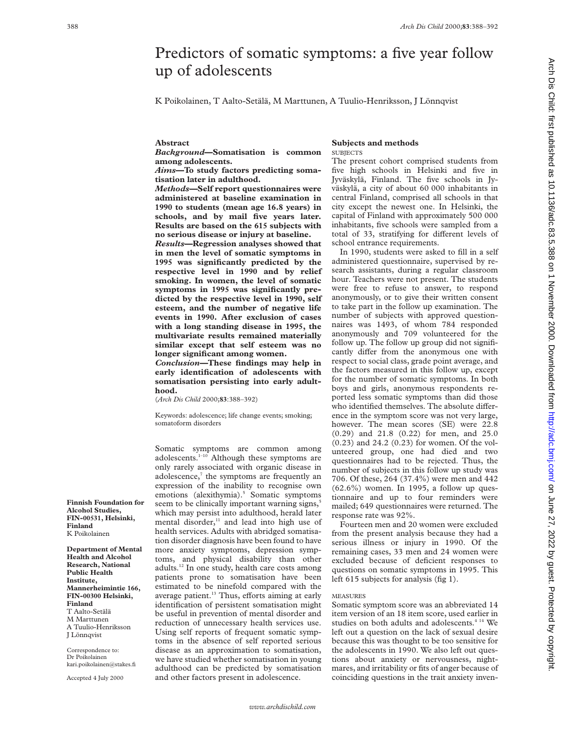# Predictors of somatic symptoms: a five year follow up of adolescents

K Poikolainen, T Aalto-Setälä, M Marttunen, A Tuulio-Henriksson, J Lönnqvist

## **Abstract**

*Background***—Somatisation is common among adolescents.**

*Aims***—To study factors predicting somatisation later in adulthood.**

*Methods—***Self report questionnaires were administered at baseline examination in 1990 to students (mean age 16.8 years) in schools, and by mail five years later. Results are based on the 615 subjects with no serious disease or injury at baseline.**

*Results***—Regression analyses showed that in men the level of somatic symptoms in 1995 was significantly predicted by the respective level in 1990 and by relief smoking. In women, the level of somatic symptoms in 1995 was significantly predicted by the respective level in 1990, self esteem, and the number of negative life events in 1990. After exclusion of cases with a long standing disease in 1995, the multivariate results remained materially similar except that self esteem was no longer significant among women.**

*Conclusion—***These findings may help in early identification of adolescents with somatisation persisting into early adulthood.**

(*Arch Dis Child* 2000;**83**:388–392)

Keywords: adolescence; life change events; smoking; somatoform disorders

Somatic symptoms are common among adolescents.<sup>1-10</sup> Although these symptoms are only rarely associated with organic disease in adolescence, $7$  the symptoms are frequently an expression of the inability to recognise own emotions (alexithymia).<sup>5</sup> Somatic symptoms seem to be clinically important warning signs,<sup>5</sup> which may persist into adulthood, herald later mental disorder,<sup>11</sup> and lead into high use of health services. Adults with abridged somatisation disorder diagnosis have been found to have more anxiety symptoms, depression symptoms, and physical disability than other adults.12 In one study, health care costs among patients prone to somatisation have been estimated to be ninefold compared with the average patient.<sup>13</sup> Thus, efforts aiming at early identification of persistent somatisation might be useful in prevention of mental disorder and reduction of unnecessary health services use. Using self reports of frequent somatic symptoms in the absence of self reported serious disease as an approximation to somatisation, we have studied whether somatisation in young adulthood can be predicted by somatisation and other factors present in adolescence.

## **Subjects and methods**

**SUBJECTS** 

The present cohort comprised students from five high schools in Helsinki and five in Jyväskylä, Finland. The five schools in Jyväskylä, a city of about 60 000 inhabitants in central Finland, comprised all schools in that city except the newest one. In Helsinki, the capital of Finland with approximately 500 000 inhabitants, five schools were sampled from a total of 33, stratifying for different levels of school entrance requirements.

In 1990, students were asked to fill in a self administered questionnaire, supervised by research assistants, during a regular classroom hour. Teachers were not present. The students were free to refuse to answer, to respond anonymously, or to give their written consent to take part in the follow up examination. The number of subjects with approved questionnaires was 1493, of whom 784 responded anonymously and 709 volunteered for the follow up. The follow up group did not significantly differ from the anonymous one with respect to social class, grade point average, and the factors measured in this follow up, except for the number of somatic symptoms. In both boys and girls, anonymous respondents reported less somatic symptoms than did those who identified themselves. The absolute difference in the symptom score was not very large, however. The mean scores (SE) were 22.8 (0.29) and 21.8 (0.22) for men, and 25.0 (0.23) and 24.2 (0.23) for women. Of the volunteered group, one had died and two questionnaires had to be rejected. Thus, the number of subjects in this follow up study was 706. Of these, 264 (37.4%) were men and 442  $(62.6\%)$  women. In 1995, a follow up questionnaire and up to four reminders were mailed; 649 questionnaires were returned. The response rate was 92%.

Fourteen men and 20 women were excluded from the present analysis because they had a serious illness or injury in 1990. Of the remaining cases, 33 men and 24 women were excluded because of deficient responses to questions on somatic symptoms in 1995. This left 615 subjects for analysis (fig 1).

### MEASURES

Somatic symptom score was an abbreviated 14 item version of an 18 item score, used earlier in studies on both adults and adolescents.<sup>4 14</sup> We left out a question on the lack of sexual desire because this was thought to be too sensitive for the adolescents in 1990. We also left out questions about anxiety or nervousness, nightmares, and irritability or fits of anger because of coinciding questions in the trait anxiety invenArch Dis Child: first published as 10.1136/adc.83.5.388 on 1 November 2000. Downloaded from http://adc.bmj.com/ on June 27, 2022 by guest. Protected by copyright on June 27, 2022 by guest. Protected by copyright. <http://adc.bmj.com/> Arch Dis Child: first published as 10.1136/adc.83.5.388 on 1 November 2000. Downloaded from

**Finnish Foundation for Alcohol Studies, FIN-00531, Helsinki, Finland** K Poikolainen

**Department of Mental Health and Alcohol Research, National Public Health Institute, Mannerheimintie 166, FIN-00300 Helsinki, Finland** T Aalto-Setälä M Marttunen A Tuulio-Henriksson J Lönnqvist

Correspondence to: Dr Poikolainen kari.poikolainen@stakes.fi

Accepted 4 July 2000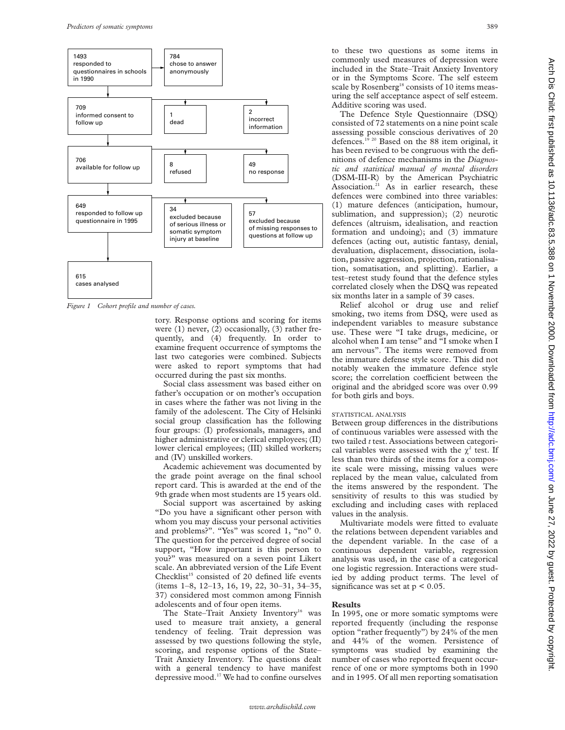

*Figure 1 Cohort profile and number of cases.*

tory. Response options and scoring for items were (1) never, (2) occasionally, (3) rather frequently, and (4) frequently. In order to examine frequent occurrence of symptoms the last two categories were combined. Subjects were asked to report symptoms that had occurred during the past six months.

Social class assessment was based either on father's occupation or on mother's occupation in cases where the father was not living in the family of the adolescent. The City of Helsinki social group classification has the following four groups: (I) professionals, managers, and higher administrative or clerical employees; (II) lower clerical employees; (III) skilled workers; and (IV) unskilled workers.

Academic achievement was documented by the grade point average on the final school report card. This is awarded at the end of the 9th grade when most students are 15 years old.

Social support was ascertained by asking "Do you have a significant other person with whom you may discuss your personal activities and problems?". "Yes" was scored 1, "no" 0. The question for the perceived degree of social support, "How important is this person to you?" was measured on a seven point Likert scale. An abbreviated version of the Life Event Checklist<sup>15</sup> consisted of 20 defined life events (items 1–8, 12–13, 16, 19, 22, 30–31, 34–35, 37) considered most common among Finnish adolescents and of four open items.

The State–Trait Anxiety Inventory<sup>16</sup> was used to measure trait anxiety, a general tendency of feeling. Trait depression was assessed by two questions following the style, scoring, and response options of the State– Trait Anxiety Inventory. The questions dealt with a general tendency to have manifest depressive mood.17 We had to confine ourselves

The Defence Style Questionnaire (DSQ) consisted of 72 statements on a nine point scale assessing possible conscious derivatives of 20 defences.<sup>19 20</sup> Based on the 88 item original, it has been revised to be congruous with the definitions of defence mechanisms in the *Diagnostic and statistical manual of mental disorders* (DSM-III-R) by the American Psychiatric Association.<sup>21</sup> As in earlier research, these defences were combined into three variables: (1) mature defences (anticipation, humour, sublimation, and suppression); (2) neurotic defences (altruism, idealisation, and reaction formation and undoing); and (3) immature defences (acting out, autistic fantasy, denial, devaluation, displacement, dissociation, isolation, passive aggression, projection, rationalisation, somatisation, and splitting). Earlier, a test–retest study found that the defence styles correlated closely when the DSQ was repeated six months later in a sample of 39 cases.

Relief alcohol or drug use and relief smoking, two items from DSQ, were used as independent variables to measure substance use. These were "I take drugs, medicine, or alcohol when I am tense" and "I smoke when I am nervous". The items were removed from the immature defense style score. This did not notably weaken the immature defence style score; the correlation coefficient between the original and the abridged score was over 0.99 for both girls and boys.

## STATISTICAL ANALYSIS

Between group differences in the distributions of continuous variables were assessed with the two tailed *t* test. Associations between categorical variables were assessed with the  $\gamma^2$  test. If less than two thirds of the items for a composite scale were missing, missing values were replaced by the mean value, calculated from the items answered by the respondent. The sensitivity of results to this was studied by excluding and including cases with replaced values in the analysis.

Multivariate models were fitted to evaluate the relations between dependent variables and the dependent variable. In the case of a continuous dependent variable, regression analysis was used, in the case of a categorical one logistic regression. Interactions were studied by adding product terms. The level of significance was set at  $p < 0.05$ .

#### **Results**

In 1995, one or more somatic symptoms were reported frequently (including the response option "rather frequently") by 24% of the men and 44% of the women. Persistence of symptoms was studied by examining the number of cases who reported frequent occurrence of one or more symptoms both in 1990 and in 1995. Of all men reporting somatisation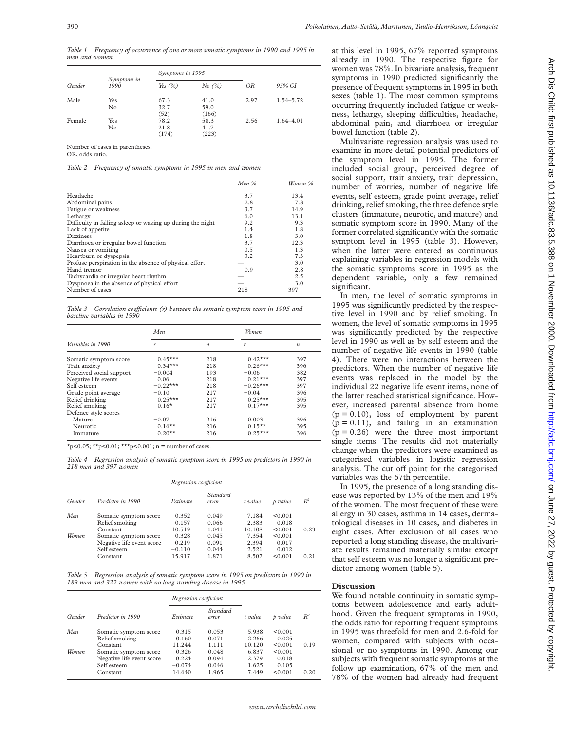*Table 1 Frequency of occurrence of one or more somatic symptoms in 1990 and 1995 in men and women*

| Gender | Symptoms in<br>1990 | Symptoms in 1995 |        |      |               |  |
|--------|---------------------|------------------|--------|------|---------------|--|
|        |                     | Yes $(\% )$      | No (%) | OR   | 95% CI        |  |
| Male   | Yes                 | 67.3             | 41.0   | 2.97 | 1.54-5.72     |  |
|        | No                  | 32.7             | 59.0   |      |               |  |
|        |                     | (52)             | (166)  |      |               |  |
| Female | Yes                 | 78.2             | 58.3   | 2.56 | $1.64 - 4.01$ |  |
|        | No                  | 21.8             | 41.7   |      |               |  |
|        |                     | (174)            | (223)  |      |               |  |

Number of cases in parentheses.

OR, odds ratio.

*Table 2 Frequency of somatic symptoms in 1995 in men and women*

|                                                            | Men% | Women % |
|------------------------------------------------------------|------|---------|
| Headache                                                   | 3.7  | 13.4    |
| Abdominal pains                                            | 2.8  | 7.8     |
| Fatigue or weakness                                        | 3.7  | 14.9    |
| Lethargy                                                   | 6.0  | 13.1    |
| Difficulty in falling asleep or waking up during the night | 9.2  | 9.3     |
| Lack of appetite                                           | 1.4  | 1.8     |
| <b>Dizziness</b>                                           | 1.8  | 3.0     |
| Diarrhoea or irregular bowel function                      | 3.7  | 12.3    |
| Nausea or vomiting                                         | 0.5  | 1.3     |
| Heartburn or dyspepsia                                     | 3.2  | 7.3     |
| Profuse perspiration in the absence of physical effort     |      | 3.0     |
| Hand tremor                                                | 0.9  | 2.8     |
| Tachycardia or irregular heart rhythm                      |      | 2.5     |
| Dyspnoea in the absence of physical effort                 |      | 3.0     |
| Number of cases                                            | 218  | 397     |

Table 3 Correlation coefficients (r) between the somatic symptom score in 1995 and *baseline variables in 1990*

|                          | Men        |                  | Women      |                  |  |
|--------------------------|------------|------------------|------------|------------------|--|
| Variables in 1990        | r          | $\boldsymbol{n}$ | r          | $\boldsymbol{n}$ |  |
| Somatic symptom score    | $0.45***$  | 218              | $0.42***$  | 397              |  |
| Trait anxiety            | $0.34***$  | 218              | $0.26***$  | 396              |  |
| Perceived social support | $-0.004$   | 193              | $-0.06$    | 382              |  |
| Negative life events     | 0.06       | 218              | $0.21***$  | 397              |  |
| Self esteem              | $-0.22***$ | 218              | $-0.26***$ | 397              |  |
| Grade point average      | $-0.10$    | 217              | $-0.04$    | 396              |  |
| Relief drinking          | $0.25***$  | 217              | $0.25***$  | 395              |  |
| Relief smoking           | $0.16*$    | 217              | $0.17***$  | 395              |  |
| Defence style scores     |            |                  |            |                  |  |
| Mature                   | $-0.07$    | 216              | 0.003      | 396              |  |
| Neurotic                 | $0.16***$  | 216              | $0.15***$  | 395              |  |
| Immature                 | $0.20**$   | 216              | $0.25***$  | 396              |  |

\*p<0.05; \*\*p<0.01; \*\*\*p<0.001; n = number of cases.

*Table 4 Regression analysis of somatic symptom score in 1995 on predictors in 1990 in 218 men and 397 women*

|        | Predictor in 1990         | Regression coefficient |                   |         |         |       |
|--------|---------------------------|------------------------|-------------------|---------|---------|-------|
| Gender |                           | Estimate               | Standard<br>error | t value | p value | $R^2$ |
| Men    | Somatic symptom score     | 0.352                  | 0.049             | 7.184   | < 0.001 |       |
|        | Relief smoking            | 0.157                  | 0.066             | 2.383   | 0.018   |       |
|        | Constant                  | 10.519                 | 1.041             | 10.108  | < 0.001 | 0.23  |
| Women  | Somatic symptom score     | 0.328                  | 0.045             | 7.354   | < 0.001 |       |
|        | Negative life event score | 0.219                  | 0.091             | 2.394   | 0.017   |       |
|        | Self esteem               | $-0.110$               | 0.044             | 2.521   | 0.012   |       |
|        | Constant                  | 15.917                 | 1.871             | 8.507   | < 0.001 | 0.21  |

*Table 5 Regression analysis of somatic symptom score in 1995 on predictors in 1990 in 189 men and 322 women with no long standing disease in 1995*

|        | Predictor in 1990         | Regression coefficient |                   |         |         |       |
|--------|---------------------------|------------------------|-------------------|---------|---------|-------|
| Gender |                           | Estimate               | Standard<br>error | t value | p value | $R^2$ |
| Men.   | Somatic symptom score     | 0.315                  | 0.053             | 5.938   | < 0.001 |       |
|        | Relief smoking            | 0.160                  | 0.071             | 2.266   | 0.025   |       |
|        | Constant                  | 11.244                 | 1.111             | 10.120  | < 0.001 | 0.19  |
| Women  | Somatic symptom score     | 0.326                  | 0.048             | 6.837   | < 0.001 |       |
|        | Negative life event score | 0.224                  | 0.094             | 2.379   | 0.018   |       |
|        | Self esteem               | $-0.074$               | 0.046             | 1.625   | 0.105   |       |
|        | Constant                  | 14.640                 | 1.965             | 7.449   | < 0.001 | 0.20  |

at this level in 1995, 67% reported symptoms already in 1990. The respective figure for women was 78%. In bivariate analysis, frequent symptoms in 1990 predicted significantly the presence of frequent symptoms in 1995 in both sexes (table 1). The most common symptoms occurring frequently included fatigue or weakness, lethargy, sleeping difficulties, headache, abdominal pain, and diarrhoea or irregular bowel function (table 2).

Multivariate regression analysis was used to examine in more detail potential predictors of the symptom level in 1995. The former included social group, perceived degree of social support, trait anxiety, trait depression, number of worries, number of negative life events, self esteem, grade point average, relief drinking, relief smoking, the three defence style clusters (immature, neurotic, and mature) and somatic symptom score in 1990. Many of the former correlated significantly with the somatic symptom level in 1995 (table 3). However, when the latter were entered as continuous explaining variables in regression models with the somatic symptoms score in 1995 as the dependent variable, only a few remained significant.

In men, the level of somatic symptoms in 1995 was significantly predicted by the respective level in 1990 and by relief smoking. In women, the level of somatic symptoms in 1995 was significantly predicted by the respective level in 1990 as well as by self esteem and the number of negative life events in 1990 (table 4). There were no interactions between the predictors. When the number of negative life events was replaced in the model by the individual 22 negative life event items, none of the latter reached statistical significance. However, increased parental absence from home  $(p = 0.10)$ , loss of employment by parent  $(p = 0.11)$ , and failing in an examination  $(p = 0.26)$  were the three most important single items. The results did not materially change when the predictors were examined as categorised variables in logistic regression analysis. The cut off point for the categorised variables was the 67th percentile.

In 1995, the presence of a long standing disease was reported by 13% of the men and 19% of the women. The most frequent of these were allergy in 30 cases, asthma in 14 cases, dermatological diseases in 10 cases, and diabetes in eight cases. After exclusion of all cases who reported a long standing disease, the multivariate results remained materially similar except that self esteem was no longer a significant predictor among women (table 5).

### **Discussion**

We found notable continuity in somatic symptoms between adolescence and early adulthood. Given the frequent symptoms in 1990, the odds ratio for reporting frequent symptoms in 1995 was threefold for men and 2.6-fold for women, compared with subjects with occasional or no symptoms in 1990. Among our subjects with frequent somatic symptoms at the follow up examination, 67% of the men and 78% of the women had already had frequent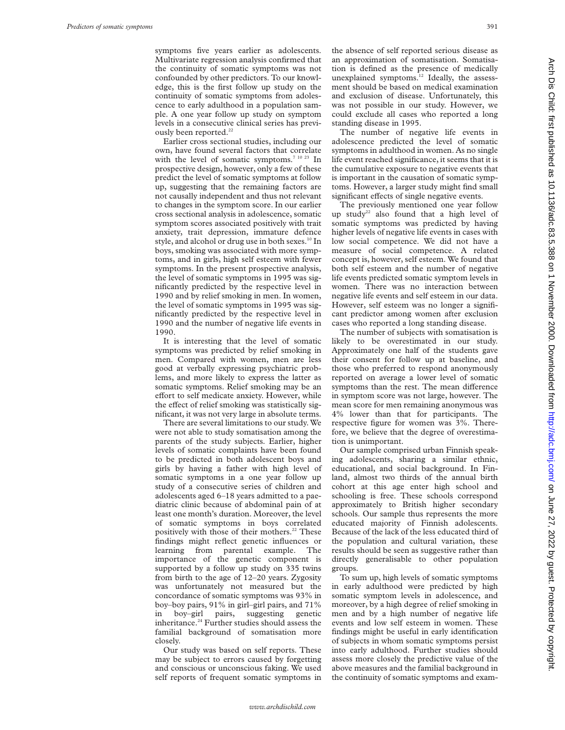symptoms five years earlier as adolescents. Multivariate regression analysis confirmed that the continuity of somatic symptoms was not confounded by other predictors. To our knowledge, this is the first follow up study on the continuity of somatic symptoms from adolescence to early adulthood in a population sample. A one year follow up study on symptom levels in a consecutive clinical series has previously been reported.<sup>22</sup>

Earlier cross sectional studies, including our own, have found several factors that correlate with the level of somatic symptoms.<sup>7 10 23</sup> In prospective design, however, only a few of these predict the level of somatic symptoms at follow up, suggesting that the remaining factors are not causally independent and thus not relevant to changes in the symptom score. In our earlier cross sectional analysis in adolescence, somatic symptom scores associated positively with trait anxiety, trait depression, immature defence style, and alcohol or drug use in both sexes.<sup>10</sup> In boys, smoking was associated with more symptoms, and in girls, high self esteem with fewer symptoms. In the present prospective analysis, the level of somatic symptoms in 1995 was significantly predicted by the respective level in 1990 and by relief smoking in men. In women, the level of somatic symptoms in 1995 was significantly predicted by the respective level in 1990 and the number of negative life events in 1990.

It is interesting that the level of somatic symptoms was predicted by relief smoking in men. Compared with women, men are less good at verbally expressing psychiatric problems, and more likely to express the latter as somatic symptoms. Relief smoking may be an effort to self medicate anxiety. However, while the effect of relief smoking was statistically significant, it was not very large in absolute terms.

There are several limitations to our study. We were not able to study somatisation among the parents of the study subjects. Earlier, higher levels of somatic complaints have been found to be predicted in both adolescent boys and girls by having a father with high level of somatic symptoms in a one year follow up study of a consecutive series of children and adolescents aged 6–18 years admitted to a paediatric clinic because of abdominal pain of at least one month's duration. Moreover, the level of somatic symptoms in boys correlated positively with those of their mothers.<sup>22</sup> These findings might reflect genetic influences or learning from parental example. The importance of the genetic component is supported by a follow up study on 335 twins from birth to the age of 12–20 years. Zygosity was unfortunately not measured but the concordance of somatic symptoms was 93% in boy–boy pairs, 91% in girl–girl pairs, and 71% in boy–girl pairs, suggesting genetic inheritance.<sup>24</sup> Further studies should assess the familial background of somatisation more closely.

Our study was based on self reports. These may be subject to errors caused by forgetting and conscious or unconscious faking. We used self reports of frequent somatic symptoms in

the absence of self reported serious disease as an approximation of somatisation. Somatisation is defined as the presence of medically unexplained symptoms.<sup>12</sup> Ideally, the assessment should be based on medical examination and exclusion of disease. Unfortunately, this was not possible in our study. However, we could exclude all cases who reported a long standing disease in 1995.

The number of negative life events in adolescence predicted the level of somatic symptoms in adulthood in women. As no single life event reached significance, it seems that it is the cumulative exposure to negative events that is important in the causation of somatic symptoms. However, a larger study might find small significant effects of single negative events.

The previously mentioned one year follow up study<sup>22</sup> also found that a high level of somatic symptoms was predicted by having higher levels of negative life events in cases with low social competence. We did not have a measure of social competence. A related concept is, however, self esteem. We found that both self esteem and the number of negative life events predicted somatic symptom levels in women. There was no interaction between negative life events and self esteem in our data. However, self esteem was no longer a significant predictor among women after exclusion cases who reported a long standing disease.

The number of subjects with somatisation is likely to be overestimated in our study. Approximately one half of the students gave their consent for follow up at baseline, and those who preferred to respond anonymously reported on average a lower level of somatic symptoms than the rest. The mean difference in symptom score was not large, however. The mean score for men remaining anonymous was 4% lower than that for participants. The respective figure for women was 3%. Therefore, we believe that the degree of overestimation is unimportant.

Our sample comprised urban Finnish speaking adolescents, sharing a similar ethnic, educational, and social background. In Finland, almost two thirds of the annual birth cohort at this age enter high school and schooling is free. These schools correspond approximately to British higher secondary schools. Our sample thus represents the more educated majority of Finnish adolescents. Because of the lack of the less educated third of the population and cultural variation, these results should be seen as suggestive rather than directly generalisable to other population groups.

To sum up, high levels of somatic symptoms in early adulthood were predicted by high somatic symptom levels in adolescence, and moreover, by a high degree of relief smoking in men and by a high number of negative life events and low self esteem in women. These findings might be useful in early identification of subjects in whom somatic symptoms persist into early adulthood. Further studies should assess more closely the predictive value of the above measures and the familial background in the continuity of somatic symptoms and exam